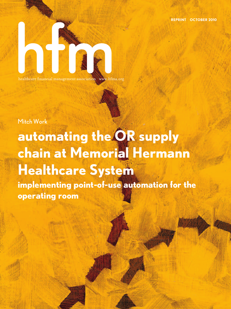healthcare financial management association www.hfma.org

### Mitch Work

# **automating the OR supply chain at Memorial Hermann Healthcare System implementing point-of-use automation for the operating room**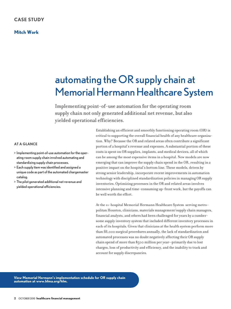#### **Mitch Work**

## automating the OR supply chain at Memorial Hermann Healthcare System

Implementing point-of-use automation for the operating room supply chain not only generated additional net revenue, but also yielded operational efficiencies.

#### **AT A GLANCE**

- > Implementing point-of-use automation forthe operating room supply chain involved automating and standardizing supply chain processes.
- > Each supply item wasidentified and assigned a unique code as part of the automated chargemaster catalog.
- > The pilot generated additional net revenue and yielded operational efficiencies.

Establishing an efficient and smoothly functioning operating room (OR) is critical to supporting the overall financial health of any healthcare organization. Why? Because the OR and related areas often contribute a significant portion of a hospital's revenue and expenses. A substantial portion of these costsisspent on OR supplies, implants, and medical devices, all of which can be among the most expensive itemsin a hospital. New models are now emerging that can improve the supply chain spend in the OR, resulting in a positive impact on the hospital's bottom line. These models, driven by strong senior leadership, incorporate recent improvements in automation technology with disciplined standardization policiesin managing OR supply inventories. Optimizing processes in the OR and related areas involves intensive planning and time-consuming up-front work, but the payoffs can be well worth the effort.

At the 11-hospital Memorial Hermann Healthcare System serving metropolitan Houston, clinicians, materials management/supply chain managers, financial analysts, and others had been challenged for years by a cumbersome supply inventory system that included different inventory processesin each of its hospitals. Given that clinicians at the health system perform more than 88,000 surgical procedures annually, the lack of standardization and automated processes was no doubt negatively affecting their OR supply chain spend of more than \$500 million per year—primarily due to lost charges, loss of productivity and efficiency, and the inability to track and account for supply discrepancies.

**View Memorial Hermann's implementation schedule for OR supply chain automation at www.hfma.org/hfm.**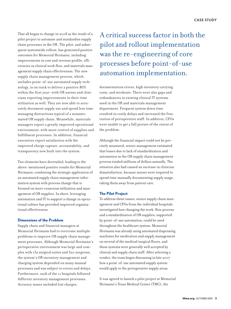That all began to change in 2008 asthe result of a pilot project to automate and standardize supply chain processesin the OR. The pilot, and subsequent systemwide rollout, has generated positive outcomes for Memorial Hermann, including improvements in cost and revenue profile, efficiencies in clinical work flow, and materials management/supply chain effectiveness. The new supply chain management process, which includes point-of-use automated supply technology, is on track to deliver a positive ROI within the first year—with OR nurses and clinicians reporting improvements in their time utilization as well. They are now able to accurately document supply use and spend less time managing distractions typical of a nonautomated OR supply chain. Meanwhile, materials managers report a greatly improved operational environment, with more control of supplies and fulfillment processes. In addition, financial executives report satisfaction with the improved charge capture, accountability, and transparency now built into the system.

Two elements have dovetailed, leading to the above-mentioned positive results for Memorial Hermann: combining the strategic application of an automated supply chain management information system with process change that is focused on more conscious utilization and management of OR supplies. In short, leveraging automation and IT to support a change in operational culture has provided improved organizational effectiveness.

#### **Dimensions of the Problem**

Supply chain and financial managers at Memorial Hermann had to overcome multiple problems to improve OR supply chain management processes. Although Memorial Hermann's perioperative environment was large and complex with 132 surgical suites and 320 surgeons, the system's OR inventory management and charging system depended on many manual processes and was subject to errors and delays. Furthermore, each of the 11 hospitals followed different inventory management processes. Accuracy issues included lost charges,

A critical success factor in both the pilot and rollout implementation wasthe re-engineering of core processes before point-of-use automation implementation.

documentation errors, high inventory carrying costs, and stockouts. There were also gaps and redundancies in existing clinical IT systems used in the OR and materials management department. Frequent system down time resulted in costly delays and increased the frustration of perioperative staff. In addition, CFOs were unable to get a full picture of the extent of the problem.

Although the financial impact could not be precisely measured, senior management estimated that losses due to lack of standardization and automation in the OR supply chain management processtotaled millions of dollars annually. The situation also had caused an increase in clinician dissatisfaction, because nurses were required to spend time manually documenting supply usage, taking them away from patient care.

#### **The Pilot Project**

To address these issues, senior supply chain management and CFOs from the individual hospitals investigated how changing the work-flow process and a standardization of OR supplies, supported by point-of-use automation, could be used throughout the healthcare system. Memorial Hermann was already using automated dispensing machines for medication and supply management on several of the medical/surgical floors, and these systems were generally well accepted by clinical and supply chain staff. After selecting a vendor, the team began discussing in late 2007 how a point-of-use automated supply system would apply to the perioperative supply areas.

It was agreed to launch a pilot project at Memorial Hermann's Texas Medical Center (TMC), the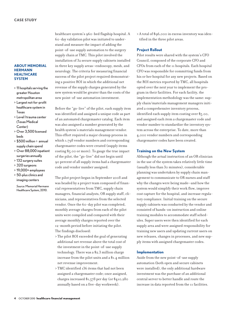#### **ABOUT MEMORIAL HERMANN HEALTHCARE SYSTEM**

- > 11 hospitals serving the greater Houston metropolitan area
- > Largest not-for-profit healthcare system in Texas
- > Level I trauma center (Texas Medical Center)
- > Over 3,500 licensed beds
- $> $500$  million  $+$  annual supply chain spend
- > Over 88,000 inpatient surgeries annually
- > 132 surgery suites
- > 320 surgeons
- > 19,000+ employees
- > 50-plus clinics and imaging centers

*Source:* Memorial Hermann Healthcare System, 2010.

healthcare system's 960-bed flagship hospital. A 60-day validation pilot wasinitiated to understand and measure the impact of adding the point-of-use supply automation to the surgery supply chain at TMC. This pilot involved the installation of 32 secure supply cabinets installed in three key supply areas—endoscopy, mesh, and neurology. The criteria for measuring financial success of the pilot project required demonstrating a positive ROI in which the additional net revenue of the supply charges generated by the new system would be greater than the costs of the new point-of-use automation investment.

Before the "go-live" of the pilot, each supply item wasidentified and assigned a unique code as part of an automated chargemaster catalog. Each item was also assigned a number generated by the health system's materials management vendor. This effort required a major cleanup processin which 1,798 vendor numbers and corresponding chargemaster codes were created (supply items costing \$5.00 or more). To gauge the true impact of the pilot, the "go-live" did not begin until 90 percent of allsupply items had a chargemaster code and vendor number assigned.

The pilot project began in September 2008 and was headed by a project team composed of financial representatives from TMC, supply chain managers, financial analysts, OR supply staff, clinicians, and representatives from the selected vendor. Once the 60-day pilot was completed, monthly average charges from each of the pilot units were compiled and compared with their average monthly charges reported over the 12-month period before initiating the pilot. The findings disclosed:

- > The pilot ROI exceeded the goal of generating additional net revenue above the total cost of the investment in the point-of-use supply technology. There was a \$2.3 million charge increase from the pilot units and a \$1.4 million net revenue improvement.
- > TMC identified 136 items that had not been assigned a chargemaster code; once assigned, chargesincreased \$1,578 per day (or \$410,280 annually based on a five-day workweek).

>A total of \$96,000 in excessinventory wasidentified in the three pilot areas.

#### **Project Rollout**

Pilot results were shared with the system's CFO Council, composed of the corporate CFO and CFOsfrom each of the 11 hospitals. Each hospital CFO was responsible for committing funds from his or her hospital for any new projects. Based on the ROI metrics reported by TMC, all hospitals opted over the next year to implement the program in their facilities. For each facility, the implementation methodology was the same: supply chain/materials management managersinitiated a comprehensive inventory process, identified each supply item costing over \$5.00, and assigned each item a chargemaster code and vendor number to standardize the inventory system across the enterprise. To date, more than 4,000 vendor numbers and corresponding chargemaster codes have been created.

#### **Training on the New System**

Although the actual instruction of an OR clinician in the use of the system takes relatively little time (usually lessthan 30 minutes), considerable planning was undertaken by supply chain management to communicate to OR nurses and staff why the changes were being made—and how the system would simplify their work flow, improve cost capture for the hospital, and increase regulatory compliance. Initial training on the secure supply cabinets was conducted by the vendor and consisted of hands-on instruction and online training modules to accommodate staff schedules. Super users were then identified for each supply area and were assigned responsibility for training new users and updating current users on new releases, changesin processes, and new supply items with assigned chargemaster codes.

#### **Implementation**

Aside from the new point-of-use supply automation (both open and secure cabinets were installed), the only additional hardware investment wasthe purchase of an additional centralserver to better handle and route the increase in data reported from the 11 facilities.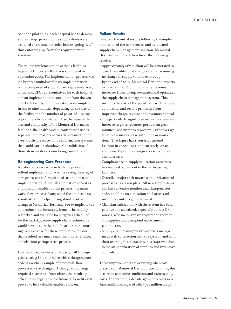As in the pilot study, each hospital had to demonstrate that 90 percent of its supply items were assigned chargemaster codes before "going live," thus enforcing up-front the requirement to standardize.

The rollout implementation at the 11 facilities began in October 2008 and was completed in September 2009. The implementation process was led by three multidisciplinary implementation teams composed of supply chain representatives, clinicians, CFO representatives for each hospital, and an implementation consultant from the vendor. Each facility implementation was completed in two to nine months, depending on the size of the facility and the number of point-of-use supply cabinets to be installed. Also, because of the size and complexity of the Memorial Hermann facilities, the health system continues to use 21 separate item masters across the organization to avert traffic pressure on the information systems that could cause a shutdown. Consolidation of those item mastersis now being considered.

#### **Re-engineering Core Processes**

A critical success factor in both the pilot and rollout implementation wasthe re-engineering of core processes before point-of-use automation implementation. Although automation served as an important enabler of this process, the many work-flow process changes and the emphasis on standardization helped bring about positive change at Memorial Hermann. For example, it was determined that for supply items to be reliably restocked and available for surgeries scheduled for the next day, some supply chain technicians would have to start their shift earlier in the morning—a big change forthese employees, but one that resulted in a much smoother, more reliable, and efficient perioperative process.

Furthermore, the decision to assign all OR supplies costing \$5.00 or more with a chargemaster code is another example of how work-flow processes were changed. Although this change required a large up-front effort, the resulting efficiencies began to show financial benefits and proved to be a valuable enabler early on.

#### **Rollout Results**

Based on the initial results following the implementation of the new process and automated supply chain management solution, Memorial Hermann is on track to achieve the following results:

- >Approximately \$67 million will be generated in 2010 from additional charge capture, assuming no change in supply volume over 2009.
- > By the end of 2010, Memorial Hermann expects to have realized \$13 million in net revenue increasesfrom having automated and optimized the supply chain management system. This includesthe cost of the point-of-use OR supply automation and results primarily from improved charge capture and inventory control.
- >One particularly significant metric has been an increase in gross revenues per 100 surgical minutes (100 minutes representing the average length of a surgical case within the organization). That figure has risen from around \$11,000 in 2007 to \$15,000 currently, or an additional \$4,000 persurgical case—a 36 percent increase.
- >Compliance with supply utilization processes has reached 95 percent in the participating facilities.
- >Overall, a majorshift toward standardization of processes hastaken place. All new supply items will have a vendor number and chargemaster code, enabling maximization of charges and inventory controls going forward.
- >Clinician satisfaction with the system has been positive and sustained, especially among OR nurses, who no longer are required to reorder OR supplies and can spend more time on patient care.
- > Supply chain management/materials managementstaffsatisfaction with the system, and with their overall job satisfaction, hasimproved due to the standardization of supplies and inventory controls.

These improvements are occurring when cost pressures at Memorial Hermann are mounting due to current economic conditions and rising supply costs. For example, a decade ago supply costs were \$200million, compared with \$560million today.